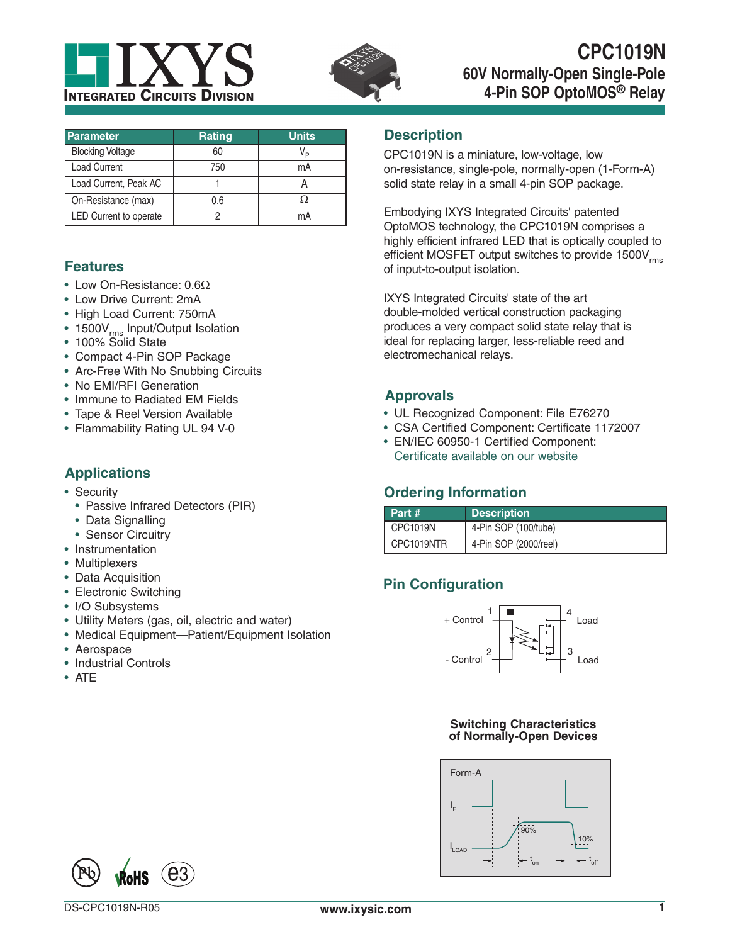



| <b>Parameter</b>        | <b>Rating</b> | <b>Units</b> |
|-------------------------|---------------|--------------|
| <b>Blocking Voltage</b> | 60            |              |
| <b>Load Current</b>     | 750           | mA           |
| Load Current, Peak AC   |               |              |
| On-Resistance (max)     | 0.6           |              |
| LED Current to operate  |               | mA           |

## **Features**

- Low On-Resistance:  $0.6\Omega$
- Low Drive Current: 2mA
- High Load Current: 750mA
- 1500V<sub>rms</sub> Input/Output Isolation
- 100% Solid State
- Compact 4-Pin SOP Package
- Arc-Free With No Snubbing Circuits
- No EMI/RFI Generation
- Immune to Radiated EM Fields
- Tape & Reel Version Available
- Flammability Rating UL 94 V-0

### **Applications**

- Security
	- Passive Infrared Detectors (PIR)
	- Data Signalling
	- Sensor Circuitry
- Instrumentation
- Multiplexers
- Data Acquisition
- Electronic Switching
- I/O Subsystems
- Utility Meters (gas, oil, electric and water)
- Medical Equipment—Patient/Equipment Isolation
- Aerospace
- Industrial Controls
- ATE

#### **Description**

CPC1019N is a miniature, low-voltage, low on-resistance, single-pole, normally-open (1-Form-A) solid state relay in a small 4-pin SOP package.

Embodying IXYS Integrated Circuits' patented OptoMOS technology, the CPC1019N comprises a highly efficient infrared LED that is optically coupled to efficient MOSFET output switches to provide 1500V<sub>rms</sub> of input-to-output isolation.

IXYS Integrated Circuits' state of the art double-molded vertical construction packaging produces a very compact solid state relay that is ideal for replacing larger, less-reliable reed and electromechanical relays.

#### **Approvals**

- UL Recognized Component: File E76270
- CSA Certified Component: Certificate 1172007
- EN/IEC 60950-1 Certified Component: [Certificate available on our website](http://www.ixysic.com/Index/graphics/TUV-Certificate.pdf)

## **Ordering Information**

| Part #     | <b>Description</b>    |
|------------|-----------------------|
| CPC1019N   | 4-Pin SOP (100/tube)  |
| CPC1019NTR | 4-Pin SOP (2000/reel) |

## **Pin Configuration**



#### **Switching Characteristics of Normally-Open Devices**



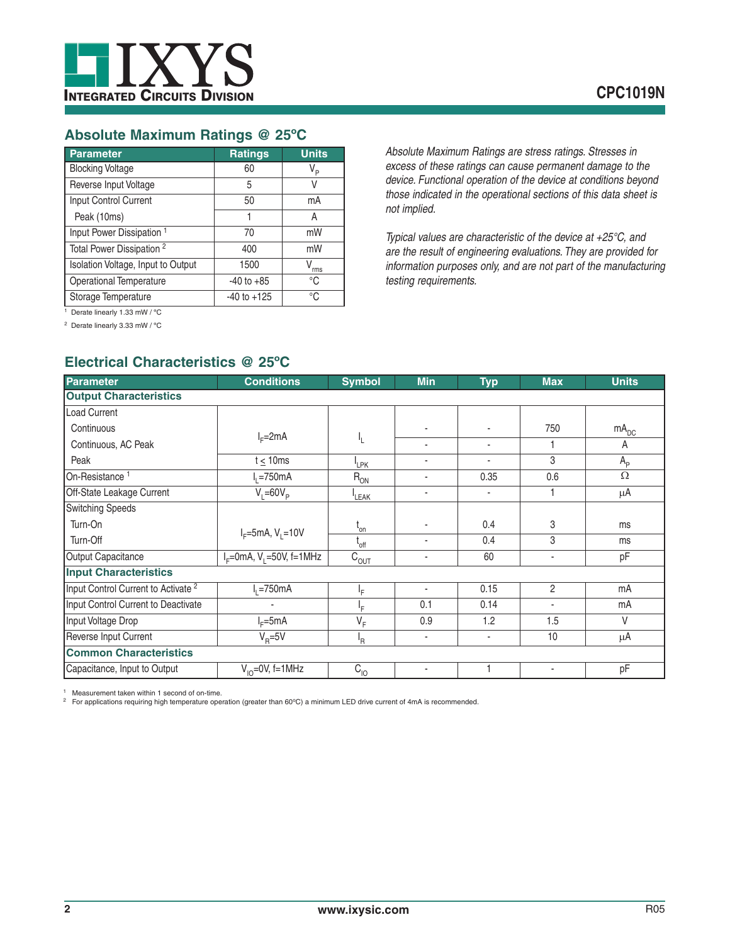

#### **Absolute Maximum Ratings @ 25ºC**

| Parameter                            | <b>Ratings</b>  | <b>Units</b>   |
|--------------------------------------|-----------------|----------------|
| <b>Blocking Voltage</b>              | 60              | V <sub>P</sub> |
| Reverse Input Voltage                | 5               | V              |
| Input Control Current                | 50              | mA             |
| Peak (10ms)                          | 1               | Α              |
| Input Power Dissipation <sup>1</sup> | 70              | mW             |
| Total Power Dissipation <sup>2</sup> | 400             | mW             |
| Isolation Voltage, Input to Output   | 1500            | rms            |
| <b>Operational Temperature</b>       | $-40$ to $+85$  | °C             |
| Storage Temperature                  | $-40$ to $+125$ | °C             |

*Absolute Maximum Ratings are stress ratings. Stresses in excess of these ratings can cause permanent damage to the device. Functional operation of the device at conditions beyond those indicated in the operational sections of this data sheet is not implied.*

*Typical values are characteristic of the device at +25°C, and are the result of engineering evaluations. They are provided for information purposes only, and are not part of the manufacturing testing requirements.*

1 Derate linearly 1.33 mW / ºC

2 Derate linearly 3.33 mW / ºC

# **Electrical Characteristics @ 25ºC**

| <b>Parameter</b>                               | <b>Conditions</b>        | <b>Symbol</b>                | <b>Min</b> | <b>Typ</b>               | <b>Max</b>               | <b>Units</b>     |
|------------------------------------------------|--------------------------|------------------------------|------------|--------------------------|--------------------------|------------------|
| <b>Output Characteristics</b>                  |                          |                              |            |                          |                          |                  |
| <b>Load Current</b>                            |                          |                              |            |                          |                          |                  |
| Continuous                                     |                          |                              |            |                          | 750                      | mA <sub>DC</sub> |
| Continuous, AC Peak                            | $I_F = 2mA$              | ۱.                           | ٠          | ٠                        |                          | A                |
| Peak                                           | $t \leq 10$ ms           | <sup>I</sup> LPK             | ٠          |                          | 3                        | $A_{p}$          |
| On-Resistance <sup>1</sup>                     | $I1 = 750mA$             | $R_{ON}$                     | ٠          | 0.35                     | 0.6                      | $\Omega$         |
| Off-State Leakage Current                      | $V_i = 60V_p$            | <sup>I</sup> LEAK            | ٠          | $\blacksquare$           |                          | $\mu$ A          |
| <b>Switching Speeds</b>                        |                          |                              |            |                          |                          |                  |
| Turn-On                                        |                          | $\mathfrak{c}_{\mathsf{on}}$ |            | 0.4                      | 3                        | ms               |
| Turn-Off                                       | $I_F = 5mA, V_1 = 10V$   | $L_{off}$                    |            | 0.4                      | 3                        | ms               |
| Output Capacitance                             | $IF=0mA, V1=50V, f=1MHz$ | $\bar{C}_{\underline{OUT}}$  |            | 60                       | $\blacksquare$           | pF               |
| <b>Input Characteristics</b>                   |                          |                              |            |                          |                          |                  |
| Input Control Current to Activate <sup>2</sup> | 12750mA                  | ŀF.                          | ٠          | 0.15                     | $\overline{2}$           | mA               |
| Input Control Current to Deactivate            |                          | ١F                           | 0.1        | 0.14                     | $\blacksquare$           | mA               |
| Input Voltage Drop                             | $I_F = 5mA$              | $V_F$                        | 0.9        | 1.2                      | 1.5                      | $\vee$           |
| Reverse Input Current                          | $V_{\rm B} = 5V$         | 'R                           | ٠          | $\overline{\phantom{a}}$ | 10                       | $\mu$ A          |
| <b>Common Characteristics</b>                  |                          |                              |            |                          |                          |                  |
| Capacitance, Input to Output                   | $V_{10} = 0V$ , f=1MHz   | $C_{10}$                     | ٠          |                          | $\overline{\phantom{a}}$ | pF               |

Measurement taken within 1 second of on-time.

<sup>2</sup> For applications requiring high temperature operation (greater than 60°C) a minimum LED drive current of 4mA is recommended.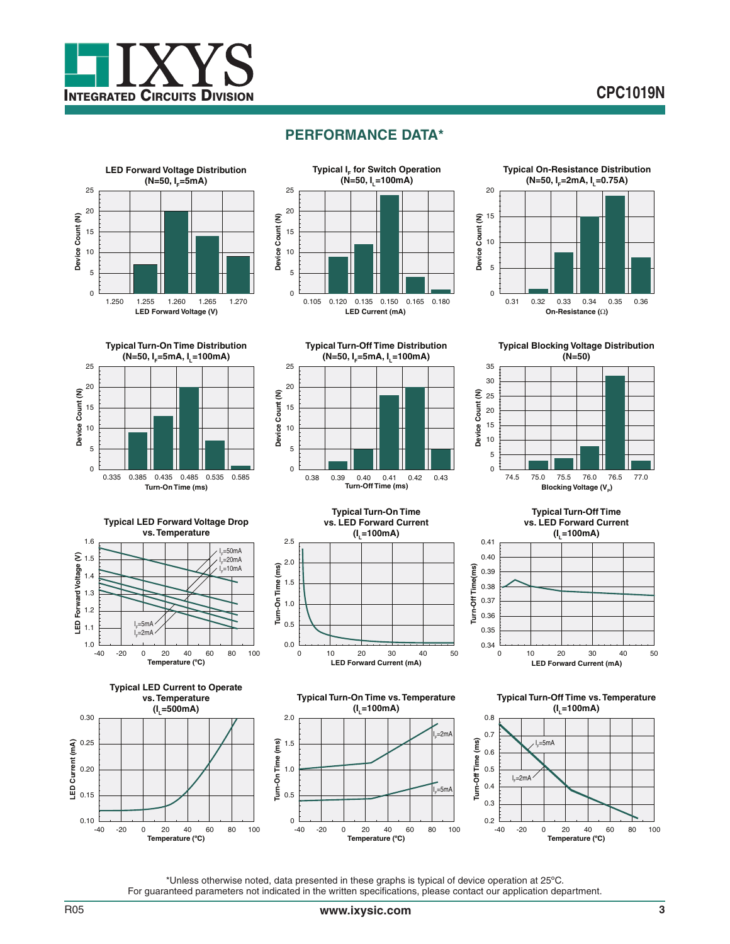

## **PERFORMANCE DATA\***





**Typical Turn-Off Time Distribution**



**Typical Turn-On Time Distribution (N=50, I<sub>E</sub>=5mA, I<sub>1</sub>=100mA)** 25 20 Device Count (N) **Device Count (N)** 15 10 5 0 0.335 0.385 0.435 0.485 0.535 0.585 **Turn-On Time (ms)**



**Typical Blocking Voltage Distribution (N=50)**



**LED Forward Voltage (V)** 1.0  $\frac{L}{-40}$ 1.1 1.2 1.3 1.4 1.5 1.6 **Typical LED Forward Voltage Drop vs. Temperature** l<sub>F</sub>=50mA l<sub>F</sub>=20mA <sub>F</sub>=10mA .<br>I<sub>F</sub>=2mA l<sub>e</sub>=5mA







**Typical Turn-On Time vs. Temperature (IL=100mA)** I F =2mA

2.0



**Typical Turn-Off Time vs. Temperature (IL=100mA)**

**LED Forward Current (mA)**

**(IL=100mA)**



\*Unless otherwise noted, data presented in these graphs is typical of device operation at 25ºC. For guaranteed parameters not indicated in the written specifications, please contact our application department.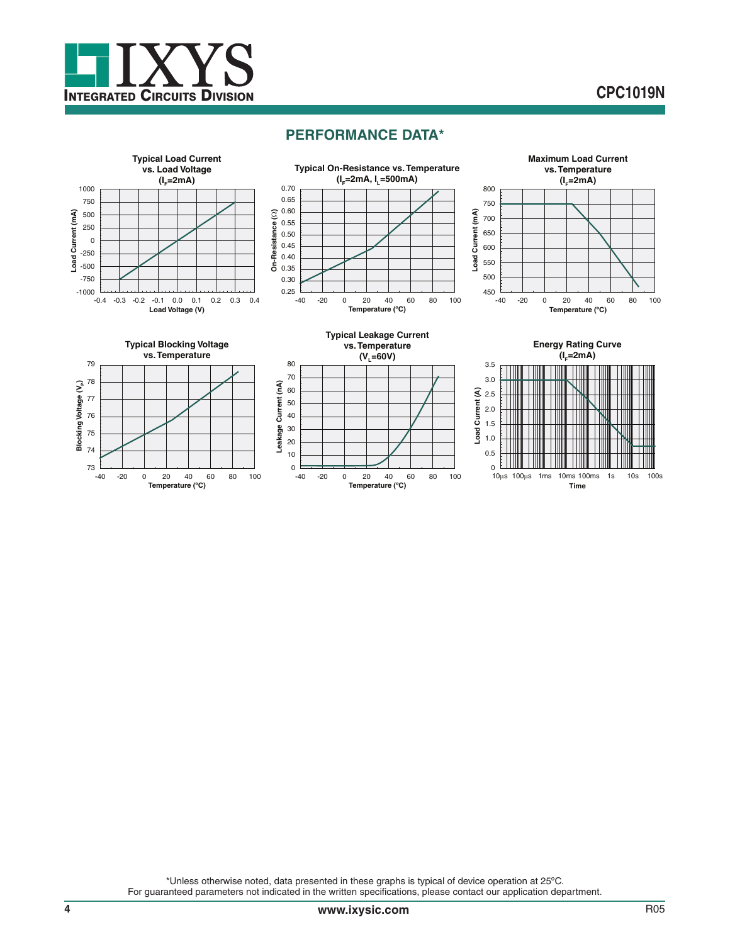

# **CPC1019N**

### **PERFORMANCE DATA\***



\*Unless otherwise noted, data presented in these graphs is typical of device operation at 25ºC. For guaranteed parameters not indicated in the written specifications, please contact our application department.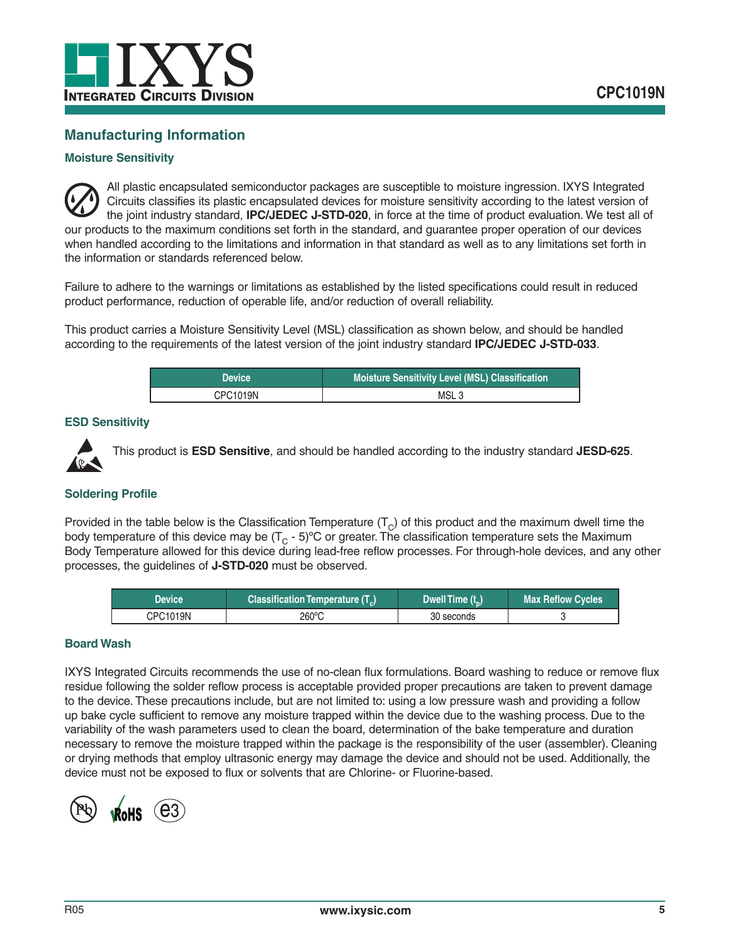

## **Manufacturing Information**

#### **Moisture Sensitivity**

All plastic encapsulated semiconductor packages are susceptible to moisture ingression. IXYS Integrated Circuits classifies its plastic encapsulated devices for moisture sensitivity according to the latest version of the joint industry standard, **IPC/JEDEC J-STD-020**, in force at the time of product evaluation. We test all of our products to the maximum conditions set forth in the standard, and guarantee proper operation of our devices when handled according to the limitations and information in that standard as well as to any limitations set forth in the information or standards referenced below.

Failure to adhere to the warnings or limitations as established by the listed specifications could result in reduced product performance, reduction of operable life, and/or reduction of overall reliability.

This product carries a Moisture Sensitivity Level (MSL) classification as shown below, and should be handled according to the requirements of the latest version of the joint industry standard **IPC/JEDEC J-STD-033**.

| <b>Device</b> | <b>Moisture Sensitivity Level (MSL) Classification</b> |
|---------------|--------------------------------------------------------|
| CPC1019N      | MSL <sub>3</sub>                                       |

#### **ESD Sensitivity**



This product is **ESD Sensitive**, and should be handled according to the industry standard **JESD-625**.

#### **Soldering Profile**

Provided in the table below is the Classification Temperature  $(T<sub>C</sub>)$  of this product and the maximum dwell time the body temperature of this device may be  $(T<sub>C</sub> - 5)$ °C or greater. The classification temperature sets the Maximum Body Temperature allowed for this device during lead-free reflow processes. For through-hole devices, and any other processes, the guidelines of **J-STD-020** must be observed.

| Device   | Classification Temperature (T <sub>c</sub> ) | Dwell Time (t) | <b>Max Reflow Cycles</b> , |
|----------|----------------------------------------------|----------------|----------------------------|
| CPC1019N | 260°C                                        | 30 seconds     |                            |

#### **Board Wash**

IXYS Integrated Circuits recommends the use of no-clean flux formulations. Board washing to reduce or remove flux residue following the solder reflow process is acceptable provided proper precautions are taken to prevent damage to the device. These precautions include, but are not limited to: using a low pressure wash and providing a follow up bake cycle sufficient to remove any moisture trapped within the device due to the washing process. Due to the variability of the wash parameters used to clean the board, determination of the bake temperature and duration necessary to remove the moisture trapped within the package is the responsibility of the user (assembler). Cleaning or drying methods that employ ultrasonic energy may damage the device and should not be used. Additionally, the device must not be exposed to flux or solvents that are Chlorine- or Fluorine-based.